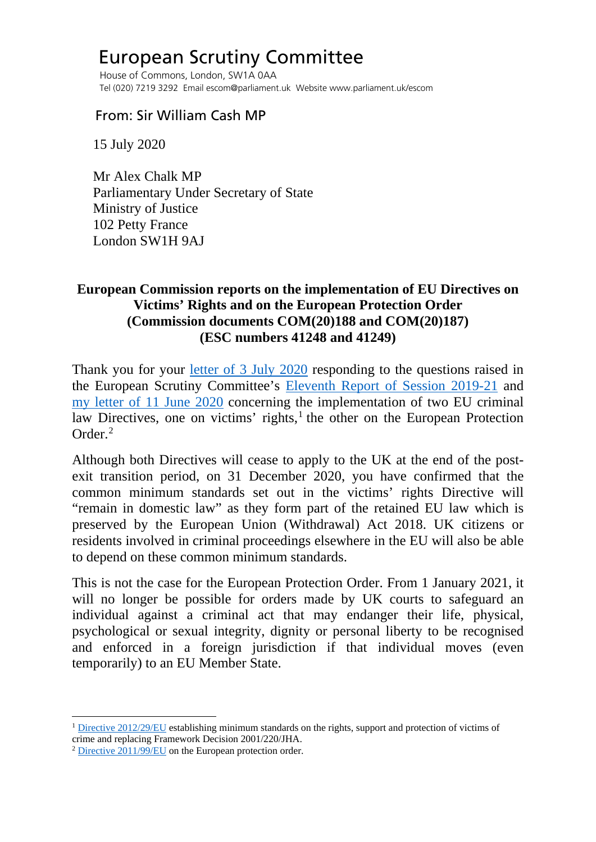## European Scrutiny Committee

 House of Commons, London, SW1A 0AA Tel (020) 7219 3292 Email escom@parliament.uk Website www.parliament.uk/escom

## From: Sir William Cash MP

15 July 2020

 Mr Alex Chalk MP Parliamentary Under Secretary of State Ministry of Justice 102 Petty France London SW1H 9AJ

## **European Commission reports on the implementation of EU Directives on Victims' Rights and on the European Protection Order (Commission documents COM(20)188 and COM(20)187) (ESC numbers 41248 and 41249)**

Thank you for your [letter of 3 July 2020](http://europeanmemoranda.cabinetoffice.gov.uk/files/2020/07/ADR79039_Signed_letter_from_Minister_Chalk.pdf) responding to the questions raised in the European Scrutiny Committee's [Eleventh Report of Session 2019-21](https://publications.parliament.uk/pa/cm5801/cmselect/cmeuleg/229-viii/22909.htm#_idTextAnchor018) and [my letter of 11 June 2020](https://committees.parliament.uk/publications/1456/documents/13324/default/) concerning the implementation of two EU criminal law Directives, one on victims' rights, $<sup>1</sup>$  $<sup>1</sup>$  $<sup>1</sup>$  the other on the European Protection</sup> Order.[2](#page-0-1)

Although both Directives will cease to apply to the UK at the end of the postexit transition period, on 31 December 2020, you have confirmed that the common minimum standards set out in the victims' rights Directive will "remain in domestic law" as they form part of the retained EU law which is preserved by the European Union (Withdrawal) Act 2018. UK citizens or residents involved in criminal proceedings elsewhere in the EU will also be able to depend on these common minimum standards.

This is not the case for the European Protection Order. From 1 January 2021, it will no longer be possible for orders made by UK courts to safeguard an individual against a criminal act that may endanger their life, physical, psychological or sexual integrity, dignity or personal liberty to be recognised and enforced in a foreign jurisdiction if that individual moves (even temporarily) to an EU Member State.

<span id="page-0-0"></span><sup>&</sup>lt;sup>1</sup> [Directive 2012/29/EU](https://eur-lex.europa.eu/legal-content/EN/TXT/PDF/?uri=CELEX:32012L0029&from=en) establishing minimum standards on the rights, support and protection of victims of crime and replacing Framework Decision 2001/220/JHA.

<span id="page-0-1"></span><sup>2</sup> [Directive 2011/99/EU](https://eur-lex.europa.eu/legal-content/EN/TXT/PDF/?uri=CELEX:32011L0099&from=EN) on the European protection order.